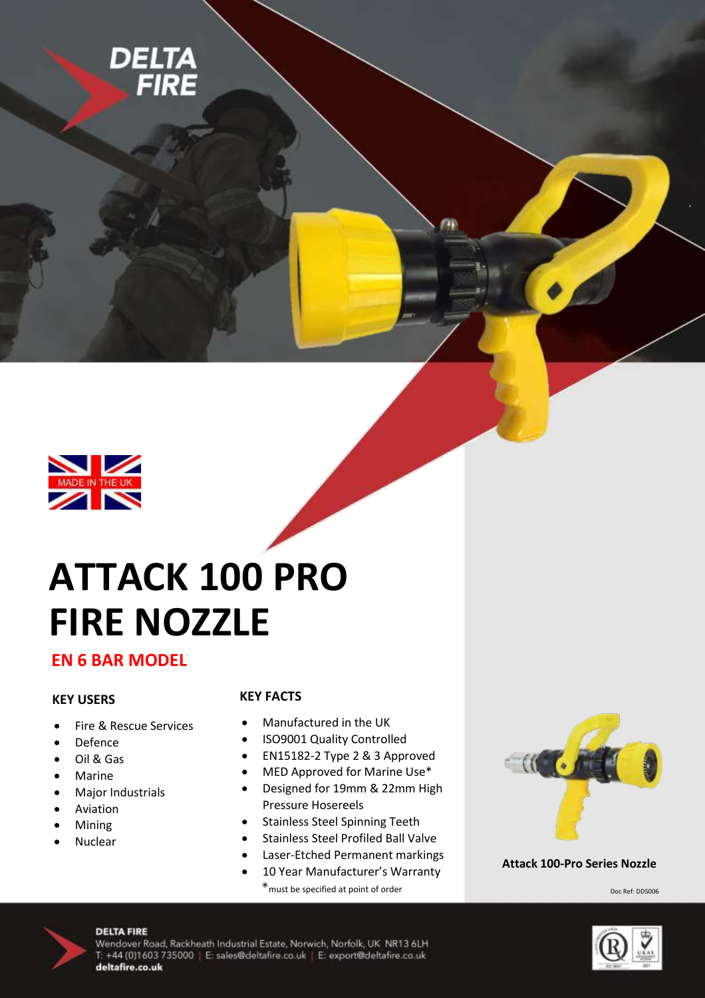



# **ATTACK 100 PRO FIRE NOZZLE**

### **EN 6 BAR MODEL**

#### **KEY USERS**

- Fire & Rescue Services
- Defence
- Oil & Gas
- Marine
- Major Industrials
- Aviation
- Mining
- Nuclear

#### **KEY FACTS**

- Manufactured in the UK
- ISO9001 Quality Controlled
- EN15182-2 Type 2 & 3 Approved
- MED Approved for Marine Use\*
- Designed for 19mm & 22mm High Pressure Hosereels
- Stainless Steel Spinning Teeth
- Stainless Steel Profiled Ball Valve
- Laser-Etched Permanent markings
- 10 Year Manufacturer's Warranty \*must be specified at point of order



#### **Attack 100-Pro Series Nozzle**

Doc Ref: DDS006



#### **DELTA FIRE**

Wendover Road, Rackheath Industrial Estate, Norwich, Norfolk, UK NR13 6LH T: +44 (0)1603 735000 | E: sales@deltafire.co.uk | E: export@deltafire.co.uk deltafire.co.uk

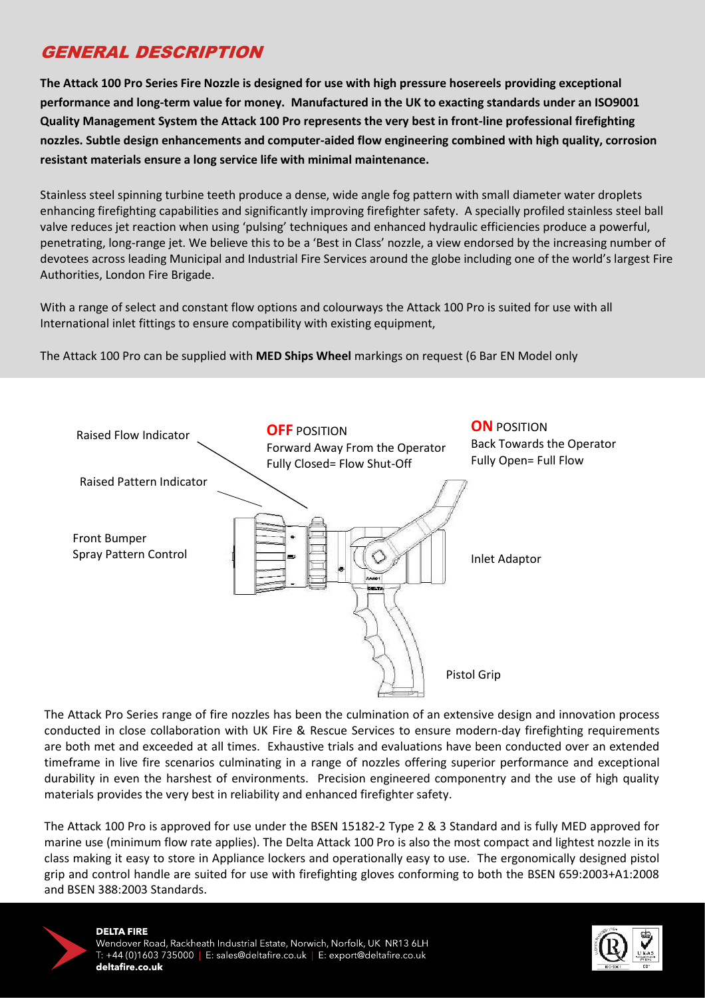## GENERAL DESCRIPTION

performance and long-term value for money. Manufactured in the UK to exacting standards under an ISO9001 Quality Management System the Attack 100 Pro represents the very best in front-line professional firefighting nozzles. Subtle design enhancements and computer-aided flow engineering combined with high quality, corrosion **resistant materials ensure a long service life with minimal maintenance.**<br> **resistant materials ensure a long service life with minimal maintenance. The Attack 100 Pro Series Fire Nozzle is designed for use with high pressure hosereels providing exceptional** 

enhancing firefighting capabilities and significantly improving firefighter safety. A specially profiled stainless steel ball valve reduces jet reaction when using 'pulsing' techniques and enhanced hydraulic efficiencies produce a powerful, penetrating, long-range jet. We believe this to be a 'Best in Class' nozzle, a view endorsed by the increasing number of penetrating, long-range jet. We seneve this to be a "Best" in class instance a water entablised by the indicating number of We believe this to be a 'Best in Class' normalized by the increasing number of devote across leading number of Stainless steel spinning turbine teeth produce a dense, wide angle fog pattern with small diameter water droplets Authorities, London Fire Brigade.

With a range of select and constant flow options and colourways the Attack 100 Pro is suited for use with all Fire Brigade. International inlet fittings to ensure compatibility with existing equipment,

 $\mathsf{F}_{\mathsf{A}}$  attack 100 Pro see to supplied with AFFD Chine Wheel meritings on use west (C Por EN Model only in The Attack 100 Pro can be supplied with **MED Ships Wheel** markings on request (6 Bar EN Model only



 conducted in close collaboration with UK Fire & Rescue Services to ensure modern-day firefighting requirements The Attack Pro Series range of fire nozzles has been the culmination of an extensive design and innovation process are both met and exceeded at all times. Exhaustive trials and evaluations have been conducted over an extended timeframe in live fire scenarios culminating in a range of nozzles offering superior performance and exceptional durability in even the harshest of environments. Precision engineered componentry and the use of high quality materials provides the very best in reliability and enhanced firefighter safety.

The Attack 100 Pro is approved for use under the BSEN 15182-2 Type 2 & 3 Standard and is fully MED approved for marine use (minimum flow rate applies). The Delta Attack 100 Pro is also the most compact and lightest nozzle in its class making it easy to store in Appliance lockers and operationally easy to use. The ergonomically designed pistol grip and control handle are suited for use with firefighting gloves conforming to both the BSEN 659:2003+A1:2008 and BSEN 388:2003 Standards.



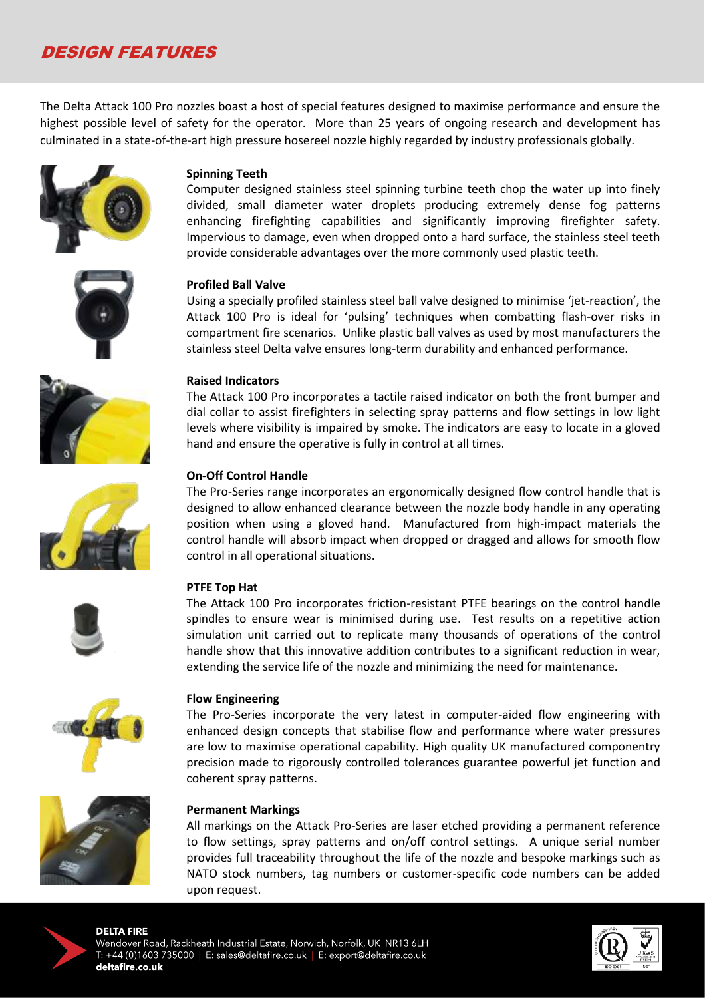## DESIGN FEATURES

The Delta Attack 100 Pro nozzles boast a host of special features designed to maximise performance and ensure the highest possible level of safety for the operator. More than 25 years of ongoing research and development has culminated in a state-of-the-art high pressure hosereel nozzle highly regarded by industry professionals globally.





#### **Spinning Teeth**

Computer designed stainless steel spinning turbine teeth chop the water up into finely divided, small diameter water droplets producing extremely dense fog patterns enhancing firefighting capabilities and significantly improving firefighter safety. Impervious to damage, even when dropped onto a hard surface, the stainless steel teeth provide considerable advantages over the more commonly used plastic teeth.

#### **Profiled Ball Valve**

Using a specially profiled stainless steel ball valve designed to minimise 'jet-reaction', the Attack 100 Pro is ideal for 'pulsing' techniques when combatting flash-over risks in compartment fire scenarios. Unlike plastic ball valves as used by most manufacturers the stainless steel Delta valve ensures long-term durability and enhanced performance.



#### **Raised Indicators**

The Attack 100 Pro incorporates a tactile raised indicator on both the front bumper and dial collar to assist firefighters in selecting spray patterns and flow settings in low light levels where visibility is impaired by smoke. The indicators are easy to locate in a gloved hand and ensure the operative is fully in control at all times.



## **On-Off Control Handle**

The Pro-Series range incorporates an ergonomically designed flow control handle that is designed to allow enhanced clearance between the nozzle body handle in any operating position when using a gloved hand. Manufactured from high-impact materials the control handle will absorb impact when dropped or dragged and allows for smooth flow control in all operational situations.



#### **PTFE Top Hat**

The Attack 100 Pro incorporates friction-resistant PTFE bearings on the control handle spindles to ensure wear is minimised during use. Test results on a repetitive action simulation unit carried out to replicate many thousands of operations of the control handle show that this innovative addition contributes to a significant reduction in wear, extending the service life of the nozzle and minimizing the need for maintenance.



#### **Flow Engineering**

The Pro-Series incorporate the very latest in computer-aided flow engineering with enhanced design concepts that stabilise flow and performance where water pressures are low to maximise operational capability. High quality UK manufactured componentry precision made to rigorously controlled tolerances guarantee powerful jet function and coherent spray patterns.



#### **Permanent Markings**

All markings on the Attack Pro-Series are laser etched providing a permanent reference to flow settings, spray patterns and on/off control settings. A unique serial number provides full traceability throughout the life of the nozzle and bespoke markings such as NATO stock numbers, tag numbers or customer-specific code numbers can be added upon request.